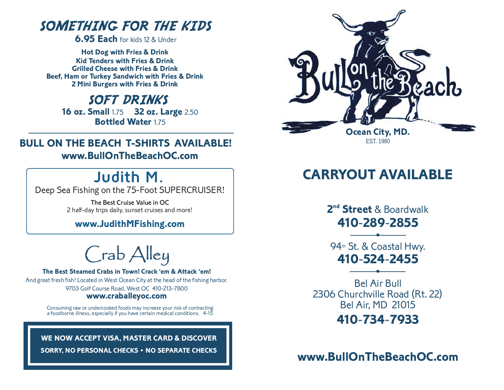# SOMETHING FOR THE KIDS

**6.95 Each** for kids 12 & Under

**Hot Dog with Fries & Drink Kid Tenders with Fries & Drink Grilled Cheese with Fries & Drink Beef, Ham or Turkey Sandwich with Fries & Drink 2 Mini Burgers with Fries & Drink**

# SOFT DRINKS

**16 oz. Small** 1.75 **32 oz. Large** 2.50 **Bottled Water 175** 

**BULL ON THE BEACH T-SHIRTS AVAILABLE! www.BullOnTheBeachOC.com**

# **Judith M.**

Deep Sea Fishing on the 75-Foot SUPERCRUISER!

The Best Cruise Value in OC 2 half-day trips daily, sunset cruises and more!

### **www.JudithMFishing.com**

Crab Alley

**The Best Steamed Crabs in Town! Crack 'em & Attack 'em!** And great fresh fish! Located in West Ocean City at the head of the fishing harbor. 9703 Golf Course Road, West OC 410-213-7800 **www.craballeyoc.com**

> Consuming raw or undercooked foods may increase your risk of contracting a foodborne illness, especially if you have certain medical conditions. 4-15

**WE NOW ACCEPT VISA, MASTER CARD & DISCOVER SORRY, NO PERSONAL CHECKS • NO SEPARATE CHECKS** 



# **CARRYOUT AVAILABLE**

**2nd Street** & Boardwalk **410**-**289**-**2855**

**•** 94<sup>th</sup> St. & Coastal Hwy. **410**-**524**-**2455**

**•**

Bel Air Bull 2306 Churchville Road (Rt. 22) Bel Air, MD 21015 **410**-**734**-**7933**

**www.BullOnTheBeachOC.com**